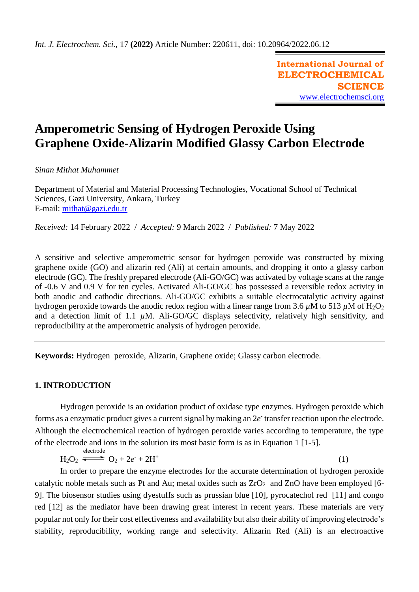**International Journal of ELECTROCHEMICAL SCIENCE** [www.electrochemsci.org](http://www.electrochemsci.org/)

(1)

# **Amperometric Sensing of Hydrogen Peroxide Using Graphene Oxide-Alizarin Modified Glassy Carbon Electrode**

## *Sinan Mithat Muhammet*

Department of Material and Material Processing Technologies, Vocational School of Technical Sciences, Gazi University, Ankara, Turkey E-mail: [mithat@gazi.edu.tr](mailto:mithat@gazi.edu.tr)

*Received:* 14 February 2022/ *Accepted:* 9 March 2022 / *Published:* 7 May 2022

A sensitive and selective amperometric sensor for hydrogen peroxide was constructed by mixing graphene oxide (GO) and alizarin red (Ali) at certain amounts, and dropping it onto a glassy carbon electrode (GC). The freshly prepared electrode (Ali-GO/GC) was activated by voltage scans at the range of -0.6 V and 0.9 V for ten cycles. Activated Ali-GO/GC has possessed a reversible redox activity in both anodic and cathodic directions. Ali-GO/GC exhibits a suitable electrocatalytic activity against hydrogen peroxide towards the anodic redox region with a linear range from 3.6  $\mu$ M to 513  $\mu$ M of H<sub>2</sub>O<sub>2</sub> and a detection limit of 1.1  $\mu$ M. Ali-GO/GC displays selectivity, relatively high sensitivity, and reproducibility at the amperometric analysis of hydrogen peroxide.

**Keywords:** Hydrogen peroxide, Alizarin, Graphene oxide; Glassy carbon electrode.

# **1. INTRODUCTION**

Hydrogen peroxide is an oxidation product of oxidase type enzymes. Hydrogen peroxide which forms as a enzymatic product gives a current signal by making an  $2e^{\tau}$  transfer reaction upon the electrode. Although the electrochemical reaction of hydrogen peroxide varies according to temperature, the type of the electrode and ions in the solution its most basic form is as in Equation 1 [1-5]. electrode

 $H_2O_2$   $\longrightarrow$   $O_2 + 2e^+ + 2H^+$ 

In order to prepare the enzyme electrodes for the accurate determination of hydrogen peroxide catalytic noble metals such as Pt and Au; metal oxides such as  $ZrO<sub>2</sub>$  and  $ZnO$  have been employed [6-9]. The biosensor studies using dyestuffs such as prussian blue [10], pyrocatechol red [11] and congo red [12] as the mediator have been drawing great interest in recent years. These materials are very popular not only for their cost effectiveness and availability but also their ability of improving electrode's stability, reproducibility, working range and selectivity. Alizarin Red (Ali) is an electroactive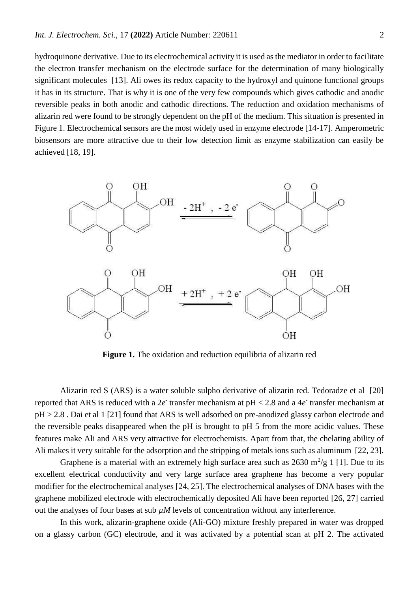hydroquinone derivative. Due to its electrochemical activity it is used as the mediator in order to facilitate the electron transfer mechanism on the electrode surface for the determination of many biologically significant molecules [13]. Ali owes its redox capacity to the hydroxyl and quinone functional groups it has in its structure. That is why it is one of the very few compounds which gives cathodic and anodic reversible peaks in both anodic and cathodic directions. The reduction and oxidation mechanisms of alizarin red were found to be strongly dependent on the pH of the medium. This situation is presented in Figure 1. Electrochemical sensors are the most widely used in enzyme electrode [14-17]. Amperometric biosensors are more attractive due to their low detection limit as enzyme stabilization can easily be achieved [18, 19].



**Figure 1.** The oxidation and reduction equilibria of alizarin red

Alizarin red S (ARS) is a water soluble sulpho derivative of alizarin red. Tedoradze et al [20] reported that ARS is reduced with a  $2e^{\tau}$  transfer mechanism at  $pH < 2.8$  and a  $4e^{\tau}$  transfer mechanism at pH > 2.8 . Dai et al 1 [21] found that ARS is well adsorbed on pre-anodized glassy carbon electrode and the reversible peaks disappeared when the pH is brought to pH 5 from the more acidic values. These features make Ali and ARS very attractive for electrochemists. Apart from that, the chelating ability of Ali makes it very suitable for the adsorption and the stripping of metals ions such as aluminum [22, 23].

Graphene is a material with an extremely high surface area such as  $2630 \text{ m}^2/\text{g}$  1 [1]. Due to its excellent electrical conductivity and very large surface area graphene has become a very popular modifier for the electrochemical analyses [24, 25]. The electrochemical analyses of DNA bases with the graphene mobilized electrode with electrochemically deposited Ali have been reported [26, 27] carried out the analyses of four bases at sub  $\mu$ *M* levels of concentration without any interference.

In this work, alizarin-graphene oxide (Ali-GO) mixture freshly prepared in water was dropped on a glassy carbon (GC) electrode, and it was activated by a potential scan at pH 2. The activated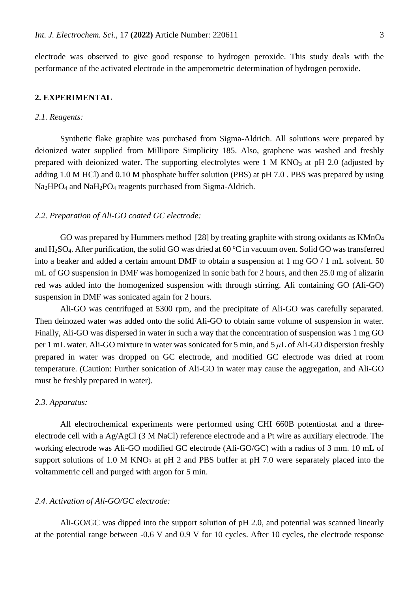electrode was observed to give good response to hydrogen peroxide. This study deals with the performance of the activated electrode in the amperometric determination of hydrogen peroxide.

# **2. EXPERIMENTAL**

## *2.1. Reagents:*

Synthetic flake graphite was purchased from Sigma-Aldrich. All solutions were prepared by deionized water supplied from Millipore Simplicity 185. Also, graphene was washed and freshly prepared with deionized water. The supporting electrolytes were  $1 \text{ M KNO}_3$  at pH 2.0 (adjusted by adding 1.0 M HCl) and 0.10 M phosphate buffer solution (PBS) at pH 7.0 . PBS was prepared by using Na2HPO<sup>4</sup> and NaH2PO<sup>4</sup> reagents purchased from Sigma-Aldrich.

### *2.2. Preparation of Ali-GO coated GC electrode:*

GO was prepared by Hummers method [28] by treating graphite with strong oxidants as KMnO<sub>4</sub> and H<sub>2</sub>SO<sub>4</sub>. After purification, the solid GO was dried at  $60^{\circ}$ C in vacuum oven. Solid GO was transferred into a beaker and added a certain amount DMF to obtain a suspension at 1 mg GO / 1 mL solvent. 50 mL of GO suspension in DMF was homogenized in sonic bath for 2 hours, and then 25.0 mg of alizarin red was added into the homogenized suspension with through stirring. Ali containing GO (Ali-GO) suspension in DMF was sonicated again for 2 hours.

Ali-GO was centrifuged at 5300 rpm, and the precipitate of Ali-GO was carefully separated. Then deinozed water was added onto the solid Ali-GO to obtain same volume of suspension in water. Finally, Ali-GO was dispersed in water in such a way that the concentration of suspension was 1 mg GO per 1 mL water. Ali-GO mixture in water was sonicated for 5 min, and 5 *μ*L of Ali-GO dispersion freshly prepared in water was dropped on GC electrode, and modified GC electrode was dried at room temperature. (Caution: Further sonication of Ali-GO in water may cause the aggregation, and Ali-GO must be freshly prepared in water).

#### *2.3. Apparatus:*

All electrochemical experiments were performed using CHI 660B potentiostat and a threeelectrode cell with a Ag/AgCl (3 M NaCl) reference electrode and a Pt wire as auxiliary electrode. The working electrode was Ali-GO modified GC electrode (Ali-GO/GC) with a radius of 3 mm. 10 mL of support solutions of 1.0 M KNO<sub>3</sub> at pH 2 and PBS buffer at pH 7.0 were separately placed into the voltammetric cell and purged with argon for 5 min.

#### *2.4. Activation of Ali-GO/GC electrode:*

Ali-GO/GC was dipped into the support solution of pH 2.0, and potential was scanned linearly at the potential range between -0.6 V and 0.9 V for 10 cycles. After 10 cycles, the electrode response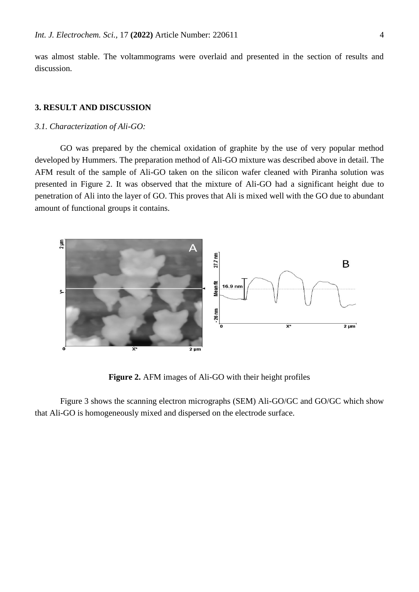was almost stable. The voltammograms were overlaid and presented in the section of results and discussion.

## **3. RESULT AND DISCUSSION**

#### *3.1. Characterization of Ali-GO:*

GO was prepared by the chemical oxidation of graphite by the use of very popular method developed by Hummers. The preparation method of Ali-GO mixture was described above in detail. The AFM result of the sample of Ali-GO taken on the silicon wafer cleaned with Piranha solution was presented in Figure 2. It was observed that the mixture of Ali-GO had a significant height due to penetration of Ali into the layer of GO. This proves that Ali is mixed well with the GO due to abundant amount of functional groups it contains.



**Figure 2.** AFM images of Ali-GO with their height profiles

Figure 3 shows the scanning electron micrographs (SEM) Ali-GO/GC and GO/GC which show that Ali-GO is homogeneously mixed and dispersed on the electrode surface.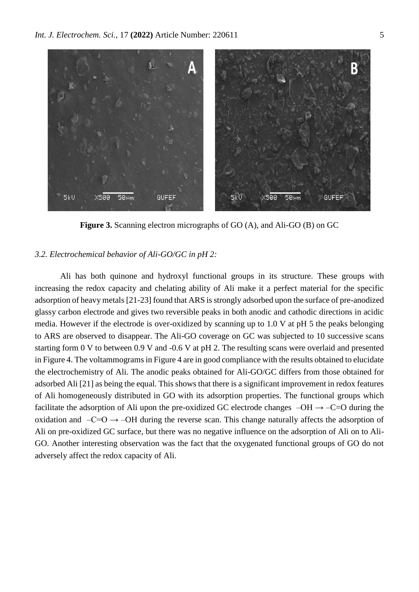

**Figure 3.** Scanning electron micrographs of GO (A), and Ali-GO (B) on GC

## *3.2. Electrochemical behavior of Ali-GO/GC in pH 2:*

Ali has both quinone and hydroxyl functional groups in its structure. These groups with increasing the redox capacity and chelating ability of Ali make it a perfect material for the specific adsorption of heavy metals [21-23] found that ARS is strongly adsorbed upon the surface of pre-anodized glassy carbon electrode and gives two reversible peaks in both anodic and cathodic directions in acidic media. However if the electrode is over-oxidized by scanning up to 1.0 V at pH 5 the peaks belonging to ARS are observed to disappear. The Ali-GO coverage on GC was subjected to 10 successive scans starting form 0 V to between 0.9 V and -0.6 V at pH 2. The resulting scans were overlaid and presented in Figure 4. The voltammograms in Figure 4 are in good compliance with the results obtained to elucidate the electrochemistry of Ali. The anodic peaks obtained for Ali-GO/GC differs from those obtained for adsorbed Ali [21] as being the equal. This shows that there is a significant improvement in redox features of Ali homogeneously distributed in GO with its adsorption properties. The functional groups which facilitate the adsorption of Ali upon the pre-oxidized GC electrode changes  $-OH \rightarrow -C=O$  during the oxidation and  $-C=O \rightarrow -OH$  during the reverse scan. This change naturally affects the adsorption of Ali on pre-oxidized GC surface, but there was no negative influence on the adsorption of Ali on to Ali-GO. Another interesting observation was the fact that the oxygenated functional groups of GO do not adversely affect the redox capacity of Ali.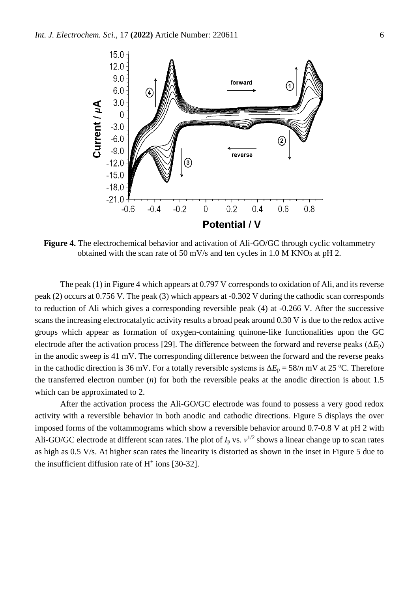

**Figure 4.** The electrochemical behavior and activation of Ali-GO/GC through cyclic voltammetry obtained with the scan rate of 50 mV/s and ten cycles in  $1.0$  M KNO<sub>3</sub> at pH 2.

The peak (1) in Figure 4 which appears at 0.797 V corresponds to oxidation of Ali, and its reverse peak (2) occurs at 0.756 V. The peak (3) which appears at -0.302 V during the cathodic scan corresponds to reduction of Ali which gives a corresponding reversible peak (4) at -0.266 V. After the successive scans the increasing electrocatalytic activity results a broad peak around 0.30 V is due to the redox active groups which appear as formation of oxygen-containing quinone-like functionalities upon the GC electrode after the activation process [29]. The difference between the forward and reverse peaks ( $\Delta E_p$ ) in the anodic sweep is 41 mV. The corresponding difference between the forward and the reverse peaks in the cathodic direction is 36 mV. For a totally reversible systems is  $\Delta E_p = 58/n$  mV at 25 °C. Therefore the transferred electron number (*n*) for both the reversible peaks at the anodic direction is about 1.5 which can be approximated to 2.

After the activation process the Ali-GO/GC electrode was found to possess a very good redox activity with a reversible behavior in both anodic and cathodic directions. Figure 5 displays the over imposed forms of the voltammograms which show a reversible behavior around 0.7-0.8 V at pH 2 with Ali-GO/GC electrode at different scan rates. The plot of  $I_p$  vs.  $v^{1/2}$  shows a linear change up to scan rates as high as 0.5 V/s. At higher scan rates the linearity is distorted as shown in the inset in Figure 5 due to the insufficient diffusion rate of  $H^+$  ions [30-32].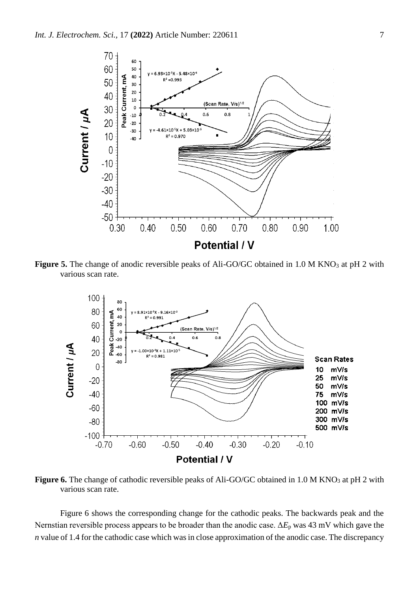

Figure 5. The change of anodic reversible peaks of Ali-GO/GC obtained in 1.0 M KNO<sub>3</sub> at pH 2 with various scan rate.



**Figure 6.** The change of cathodic reversible peaks of Ali-GO/GC obtained in 1.0 M KNO<sub>3</sub> at pH 2 with various scan rate.

Figure 6 shows the corresponding change for the cathodic peaks. The backwards peak and the Nernstian reversible process appears to be broader than the anodic case. Δ*E*<sup>p</sup> was 43 mV which gave the *n* value of 1.4 for the cathodic case which was in close approximation of the anodic case. The discrepancy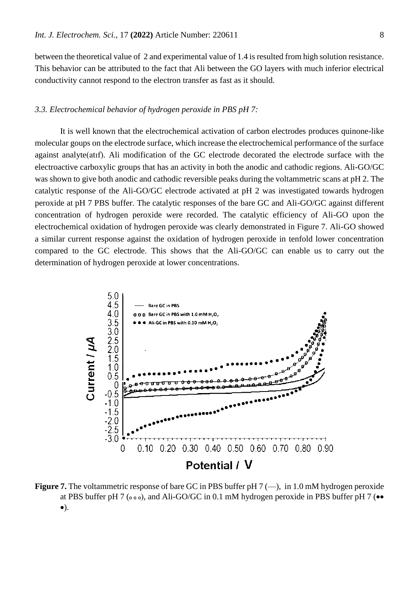between the theoretical value of 2 and experimental value of 1.4 is resulted from high solution resistance. This behavior can be attributed to the fact that Ali between the GO layers with much inferior electrical conductivity cannot respond to the electron transfer as fast as it should.

## *3.3. Electrochemical behavior of hydrogen peroxide in PBS pH 7:*

It is well known that the electrochemical activation of carbon electrodes produces quinone-like molecular goups on the electrode surface, which increase the electrochemical performance of the surface against analyte(atıf). Ali modification of the GC electrode decorated the electrode surface with the electroactive carboxylic groups that has an activity in both the anodic and cathodic regions. Ali-GO/GC was shown to give both anodic and cathodic reversible peaks during the voltammetric scans at pH 2. The catalytic response of the Ali-GO/GC electrode activated at pH 2 was investigated towards hydrogen peroxide at pH 7 PBS buffer. The catalytic responses of the bare GC and Ali-GO/GC against different concentration of hydrogen peroxide were recorded. The catalytic efficiency of Ali-GO upon the electrochemical oxidation of hydrogen peroxide was clearly demonstrated in Figure 7. Ali-GO showed a similar current response against the oxidation of hydrogen peroxide in tenfold lower concentration compared to the GC electrode. This shows that the Ali-GO/GC can enable us to carry out the determination of hydrogen peroxide at lower concentrations.



**Figure 7.** The voltammetric response of bare GC in PBS buffer pH 7 (—), in 1.0 mM hydrogen peroxide at PBS buffer pH 7 ( $\circ \circ$ ), and Ali-GO/GC in 0.1 mM hydrogen peroxide in PBS buffer pH 7 ( $\bullet \bullet$ ).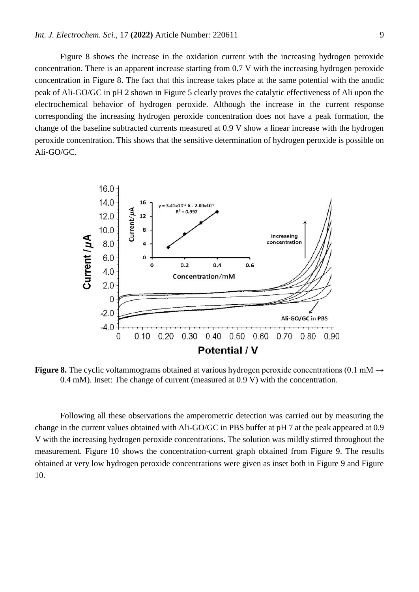Figure 8 shows the increase in the oxidation current with the increasing hydrogen peroxide concentration. There is an apparent increase starting from 0.7 V with the increasing hydrogen peroxide concentration in Figure 8. The fact that this increase takes place at the same potential with the anodic peak of Ali-GO/GC in pH 2 shown in Figure 5 clearly proves the catalytic effectiveness of Ali upon the electrochemical behavior of hydrogen peroxide. Although the increase in the current response corresponding the increasing hydrogen peroxide concentration does not have a peak formation, the change of the baseline subtracted currents measured at 0.9 V show a linear increase with the hydrogen peroxide concentration. This shows that the sensitive determination of hydrogen peroxide is possible on Ali-GO/GC.



**Figure 8.** The cyclic voltammograms obtained at various hydrogen peroxide concentrations (0.1 mM  $\rightarrow$ 0.4 mM). Inset: The change of current (measured at 0.9 V) with the concentration.

Following all these observations the amperometric detection was carried out by measuring the change in the current values obtained with Ali-GO/GC in PBS buffer at pH 7 at the peak appeared at 0.9 V with the increasing hydrogen peroxide concentrations. The solution was mildly stirred throughout the measurement. Figure 10 shows the concentration-current graph obtained from Figure 9. The results obtained at very low hydrogen peroxide concentrations were given as inset both in Figure 9 and Figure 10.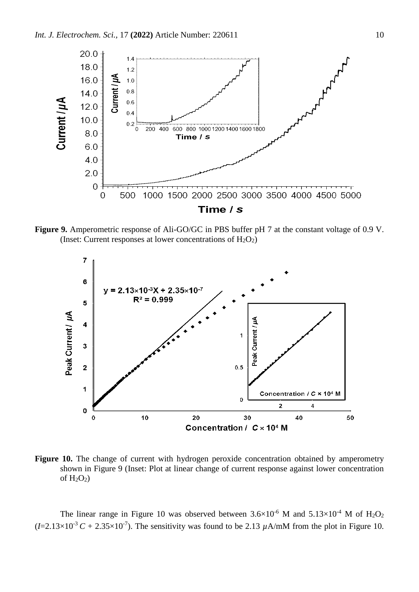

**Figure 9.** Amperometric response of Ali-GO/GC in PBS buffer pH 7 at the constant voltage of 0.9 V. (Inset: Current responses at lower concentrations of  $H_2O_2$ )



Figure 10. The change of current with hydrogen peroxide concentration obtained by amperometry shown in Figure 9 (Inset: Plot at linear change of current response against lower concentration of  $H_2O_2$ )

The linear range in Figure 10 was observed between  $3.6\times10^{-6}$  M and  $5.13\times10^{-4}$  M of H<sub>2</sub>O<sub>2</sub>  $(I=2.13\times10^{-3} C + 2.35\times10^{-7})$ . The sensitivity was found to be 2.13  $\mu$ A/mM from the plot in Figure 10.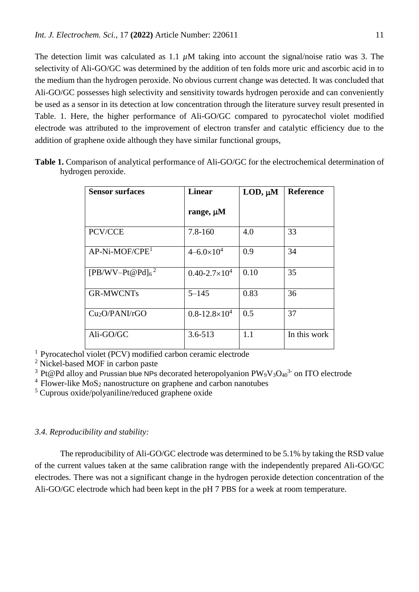The detection limit was calculated as 1.1 *µ*M taking into account the signal/noise ratio was 3. The selectivity of Ali-GO/GC was determined by the addition of ten folds more uric and ascorbic acid in to the medium than the hydrogen peroxide. No obvious current change was detected. It was concluded that Ali-GO/GC possesses high selectivity and sensitivity towards hydrogen peroxide and can conveniently be used as a sensor in its detection at low concentration through the literature survey result presented in Table. 1. Here, the higher performance of Ali-GO/GC compared to pyrocatechol violet modified electrode was attributed to the improvement of electron transfer and catalytic efficiency due to the addition of graphene oxide although they have similar functional groups,

| <b>Sensor surfaces</b>     | <b>Linear</b><br>range, $\mu$ M | LOD, $\mu$ M | <b>Reference</b> |
|----------------------------|---------------------------------|--------------|------------------|
|                            |                                 |              |                  |
| $AP-Ni-MOF/CPE1$           | $4 - 6.0 \times 10^4$           | 0.9          | 34               |
| $[PB/WV-Pt@Pd]_{6}^2$      | $0.40 - 2.7 \times 10^4$        | 0.10         | 35               |
| <b>GR-MWCNTs</b>           | $5 - 145$                       | 0.83         | 36               |
| Cu <sub>2</sub> O/PANI/rGO | $0.8 - 12.8 \times 10^4$        | 0.5          | 37               |
| Ali-GO/GC                  | $3.6 - 513$                     | 1.1          | In this work     |

**Table 1.** Comparison of analytical performance of Ali-GO/GC for the electrochemical determination of hydrogen peroxide.

<sup>1</sup> Pyrocatechol violet (PCV) modified carbon ceramic electrode

<sup>2</sup> Nickel-based MOF in carbon paste

<sup>3</sup> Pt@Pd alloy and Prussian blue NPs decorated heteropolyanion  $PW_9V_3O_{40}^{3}$  on ITO electrode

 $4$  Flower-like MoS<sub>2</sub> nanostructure on graphene and carbon nanotubes

<sup>5</sup> Cuprous oxide/polyaniline/reduced graphene oxide

## *3.4. Reproducibility and stability:*

The reproducibility of Ali-GO/GC electrode was determined to be 5.1% by taking the RSD value of the current values taken at the same calibration range with the independently prepared Ali-GO/GC electrodes. There was not a significant change in the hydrogen peroxide detection concentration of the Ali-GO/GC electrode which had been kept in the pH 7 PBS for a week at room temperature.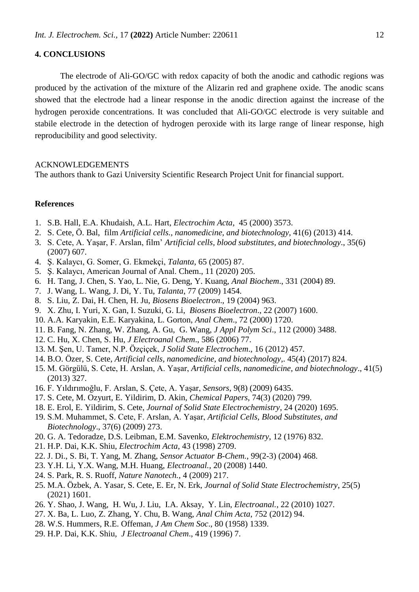# **4. CONCLUSIONS**

The electrode of Ali-GO/GC with redox capacity of both the anodic and cathodic regions was produced by the activation of the mixture of the Alizarin red and graphene oxide. The anodic scans showed that the electrode had a linear response in the anodic direction against the increase of the hydrogen peroxide concentrations. It was concluded that Ali-GO/GC electrode is very suitable and stabile electrode in the detection of hydrogen peroxide with its large range of linear response, high reproducibility and good selectivity.

## ACKNOWLEDGEMENTS

The authors thank to Gazi University Scientific Research Project Unit for financial support.

## **References**

- 1. S.B. Hall, E.A. Khudaish, A.L. Hart, *Electrochim Acta*, 45 (2000) 3573.
- 2. S. Cete, Ö. Bal, film *Artificial cells., nanomedicine, and biotechnology*, 41(6) (2013) 414.
- 3. S. Cete, A. Yaşar, F. Arslan, film' *Artificial cells, blood substitutes, and biotechnology*., 35(6) (2007) 607.
- 4. Ş. Kalaycı, G. Somer, G. Ekmekçi, *Talanta*, 65 (2005) 87.
- 5. Ş. Kalaycı, American Journal of Anal. Chem., 11 (2020) 205.
- 6. H. Tang, J. Chen, S. Yao, L. Nie, G. Deng, Y. Kuang, *Anal Biochem*., 331 (2004) 89.
- 7. J. Wang, L. Wang, J. Di, Y. Tu, *Talanta*, 77 (2009) 1454.
- 8. S. Liu, Z. Dai, H. Chen, H. Ju, *Biosens Bioelectron*., 19 (2004) 963.
- 9. X. Zhu, I. Yuri, X. Gan, I. Suzuki, G. Li, *Biosens Bioelectron*., 22 (2007) 1600.
- 10. A.A. Karyakin, E.E. Karyakina, L. Gorton, *Anal Chem*., 72 (2000) 1720.
- 11. B. Fang, N. Zhang, W. Zhang, A. Gu, G. Wang, *J Appl Polym Sci*., 112 (2000) 3488.
- 12. C. Hu, X. Chen, S. Hu, *J Electroanal Chem*., 586 (2006) 77.
- 13. M. Şen, U. Tamer, N.P. Özçiçek, *J Solid State Electrochem*., 16 (2012) 457.
- 14. B.O. Özer, S. Cete, *Artificial cells, nanomedicine, and biotechnology*,. 45(4) (2017) 824.
- 15. M. Görgülü, S. Cete, H. Arslan, A. Yaşar, *Artificial cells, nanomedicine, and biotechnology*., 41(5) (2013) 327.
- 16. F. Yıldırımoğlu, F. Arslan, S. Çete, A. Yaşar, *Sensors*, 9(8) (2009) 6435.
- 17. S. Cete, M. Ozyurt, E. Yildirim, D. Akin, *Chemical Papers*, 74(3) (2020) 799.
- 18. E. Erol, E. Yildirim, S. Cete, *Journal of Solid State Electrochemistry*, 24 (2020) 1695.
- 19. S.M. Muhammet, S. Cete, F. Arslan, A. Yaşar, *Artificial Cells, Blood Substitutes, and Biotechnology*., 37(6) (2009) 273.
- 20. G. A. Tedoradze, D.S. Leibman, E.M. Savenko, *Elektrochemistry*, 12 (1976) 832.
- 21. H.P. Dai, K.K. Shiu, *Electrochim Acta*, 43 (1998) 2709.
- 22. J. Di., S. Bi, T. Yang, M. Zhang, *Sensor Actuator B-Chem.*, 99(2-3) (2004) 468.
- 23. Y.H. Li, Y.X. Wang, M.H. Huang, *Electroanal.*, 20 (2008) 1440.
- 24. S. Park, R. S. Ruoff, *Nature Nanotech.*, 4 (2009) 217.
- 25. M.A. Özbek, A. Yasar, S. Cete, E. Er, N. Erk, *Journal of Solid State Electrochemistry*, 25(5) (2021) 1601.
- 26. Y. Shao, J. Wang, H. Wu, J. Liu, I.A. Aksay, Y. Lin, *Electroanal.*, 22 (2010) 1027.
- 27. X. Ba, L. Luo, Z. Zhang, Y. Chu, B. Wang, *Anal Chim Acta*, 752 (2012) 94.
- 28. W.S. Hummers, R.E. Offeman, *J Am Chem Soc*., 80 (1958) 1339.
- 29. H.P. Dai, K.K. Shiu, *J Electroanal Chem*., 419 (1996) 7.